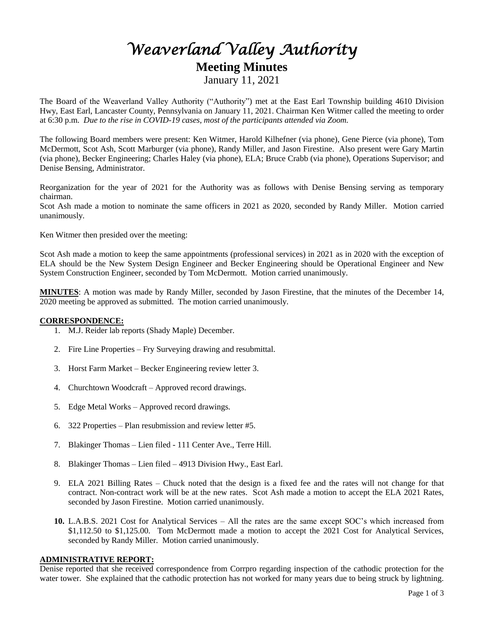# *Weaverland Valley Authority*  **Meeting Minutes** January 11, 2021

The Board of the Weaverland Valley Authority ("Authority") met at the East Earl Township building 4610 Division Hwy, East Earl, Lancaster County, Pennsylvania on January 11, 2021. Chairman Ken Witmer called the meeting to order at 6:30 p.m. *Due to the rise in COVID-19 cases, most of the participants attended via Zoom.*

The following Board members were present: Ken Witmer, Harold Kilhefner (via phone), Gene Pierce (via phone), Tom McDermott, Scot Ash, Scott Marburger (via phone), Randy Miller, and Jason Firestine. Also present were Gary Martin (via phone), Becker Engineering; Charles Haley (via phone), ELA; Bruce Crabb (via phone), Operations Supervisor; and Denise Bensing, Administrator.

Reorganization for the year of 2021 for the Authority was as follows with Denise Bensing serving as temporary chairman.

Scot Ash made a motion to nominate the same officers in 2021 as 2020, seconded by Randy Miller. Motion carried unanimously.

Ken Witmer then presided over the meeting:

Scot Ash made a motion to keep the same appointments (professional services) in 2021 as in 2020 with the exception of ELA should be the New System Design Engineer and Becker Engineering should be Operational Engineer and New System Construction Engineer, seconded by Tom McDermott. Motion carried unanimously.

**MINUTES**: A motion was made by Randy Miller, seconded by Jason Firestine, that the minutes of the December 14, 2020 meeting be approved as submitted. The motion carried unanimously.

### **CORRESPONDENCE:**

- 1. M.J. Reider lab reports (Shady Maple) December.
- 2. Fire Line Properties Fry Surveying drawing and resubmittal.
- 3. Horst Farm Market Becker Engineering review letter 3.
- 4. Churchtown Woodcraft Approved record drawings.
- 5. Edge Metal Works Approved record drawings.
- 6. 322 Properties Plan resubmission and review letter #5.
- 7. Blakinger Thomas Lien filed 111 Center Ave., Terre Hill.
- 8. Blakinger Thomas Lien filed 4913 Division Hwy., East Earl.
- 9. ELA 2021 Billing Rates Chuck noted that the design is a fixed fee and the rates will not change for that contract. Non-contract work will be at the new rates. Scot Ash made a motion to accept the ELA 2021 Rates, seconded by Jason Firestine. Motion carried unanimously.
- **10.** L.A.B.S. 2021 Cost for Analytical Services All the rates are the same except SOC's which increased from \$1,112.50 to \$1,125.00. Tom McDermott made a motion to accept the 2021 Cost for Analytical Services, seconded by Randy Miller. Motion carried unanimously.

# **ADMINISTRATIVE REPORT:**

Denise reported that she received correspondence from Corrpro regarding inspection of the cathodic protection for the water tower. She explained that the cathodic protection has not worked for many years due to being struck by lightning.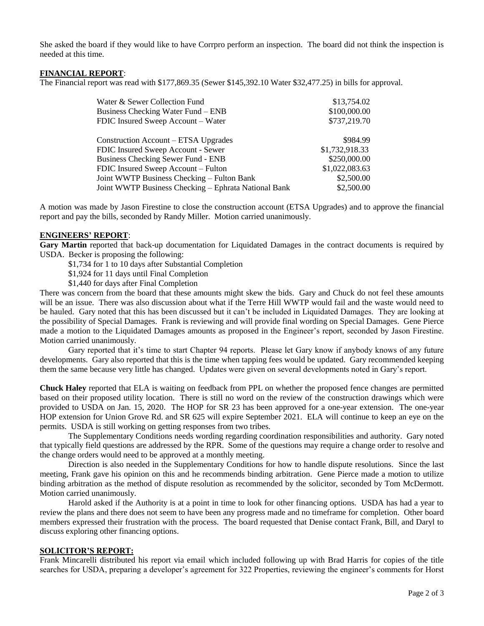She asked the board if they would like to have Corrpro perform an inspection. The board did not think the inspection is needed at this time.

## **FINANCIAL REPORT**:

The Financial report was read with \$177,869.35 (Sewer \$145,392.10 Water \$32,477.25) in bills for approval.

| Water & Sewer Collection Fund                        | \$13,754.02    |
|------------------------------------------------------|----------------|
| Business Checking Water Fund – ENB                   | \$100,000.00   |
| FDIC Insured Sweep Account – Water                   | \$737,219.70   |
| Construction Account – ETSA Upgrades                 | \$984.99       |
| FDIC Insured Sweep Account - Sewer                   | \$1,732,918.33 |
| <b>Business Checking Sewer Fund - ENB</b>            | \$250,000.00   |
| FDIC Insured Sweep Account – Fulton                  | \$1,022,083.63 |
| Joint WWTP Business Checking – Fulton Bank           | \$2,500.00     |
| Joint WWTP Business Checking – Ephrata National Bank | \$2,500.00     |

A motion was made by Jason Firestine to close the construction account (ETSA Upgrades) and to approve the financial report and pay the bills, seconded by Randy Miller. Motion carried unanimously.

### **ENGINEERS' REPORT**:

**Gary Martin** reported that back-up documentation for Liquidated Damages in the contract documents is required by USDA. Becker is proposing the following:

\$1,734 for 1 to 10 days after Substantial Completion

\$1,924 for 11 days until Final Completion

\$1,440 for days after Final Completion

There was concern from the board that these amounts might skew the bids. Gary and Chuck do not feel these amounts will be an issue. There was also discussion about what if the Terre Hill WWTP would fail and the waste would need to be hauled. Gary noted that this has been discussed but it can't be included in Liquidated Damages. They are looking at the possibility of Special Damages. Frank is reviewing and will provide final wording on Special Damages. Gene Pierce made a motion to the Liquidated Damages amounts as proposed in the Engineer's report, seconded by Jason Firestine. Motion carried unanimously.

Gary reported that it's time to start Chapter 94 reports. Please let Gary know if anybody knows of any future developments. Gary also reported that this is the time when tapping fees would be updated. Gary recommended keeping them the same because very little has changed. Updates were given on several developments noted in Gary's report.

**Chuck Haley** reported that ELA is waiting on feedback from PPL on whether the proposed fence changes are permitted based on their proposed utility location. There is still no word on the review of the construction drawings which were provided to USDA on Jan. 15, 2020. The HOP for SR 23 has been approved for a one-year extension. The one-year HOP extension for Union Grove Rd. and SR 625 will expire September 2021. ELA will continue to keep an eye on the permits. USDA is still working on getting responses from two tribes.

The Supplementary Conditions needs wording regarding coordination responsibilities and authority. Gary noted that typically field questions are addressed by the RPR. Some of the questions may require a change order to resolve and the change orders would need to be approved at a monthly meeting.

Direction is also needed in the Supplementary Conditions for how to handle dispute resolutions. Since the last meeting, Frank gave his opinion on this and he recommends binding arbitration. Gene Pierce made a motion to utilize binding arbitration as the method of dispute resolution as recommended by the solicitor, seconded by Tom McDermott. Motion carried unanimously.

Harold asked if the Authority is at a point in time to look for other financing options. USDA has had a year to review the plans and there does not seem to have been any progress made and no timeframe for completion. Other board members expressed their frustration with the process. The board requested that Denise contact Frank, Bill, and Daryl to discuss exploring other financing options.

### **SOLICITOR'S REPORT:**

Frank Mincarelli distributed his report via email which included following up with Brad Harris for copies of the title searches for USDA, preparing a developer's agreement for 322 Properties, reviewing the engineer's comments for Horst